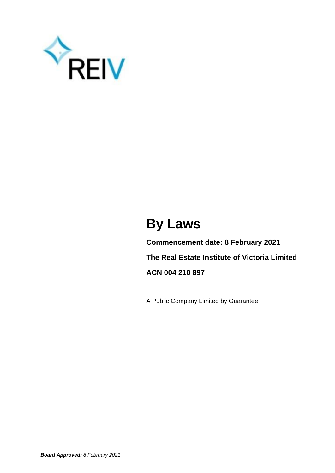

# **By Laws**

**Commencement date: 8 February 2021 The Real Estate Institute of Victoria Limited ACN 004 210 897**

A Public Company Limited by Guarantee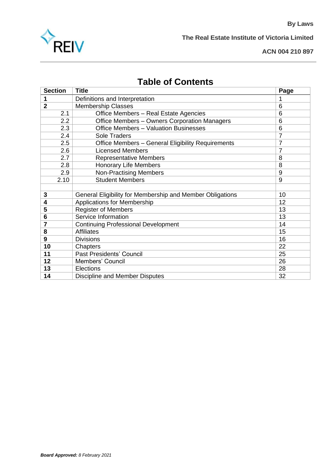

**The Real Estate Institute of Victoria Limited**

#### **ACN 004 210 897**

**By Laws**

# **Table of Contents**

|                | <b>Section</b>    | <b>Title</b>                                              | Page           |
|----------------|-------------------|-----------------------------------------------------------|----------------|
| 1              |                   | Definitions and Interpretation                            | 1              |
| $\overline{2}$ |                   | <b>Membership Classes</b>                                 | 6              |
|                | 2.1               | Office Members - Real Estate Agencies                     | 6              |
|                | $2.2\overline{ }$ | Office Members - Owners Corporation Managers              | 6              |
|                | 2.3               | Office Members - Valuation Businesses                     | 6              |
|                | 2.4               | Sole Traders                                              | $\overline{7}$ |
|                | 2.5               | Office Members - General Eligibility Requirements         | $\overline{7}$ |
|                | 2.6               | <b>Licensed Members</b>                                   | $\overline{7}$ |
|                | 2.7               | <b>Representative Members</b>                             | 8              |
|                | 2.8               | <b>Honorary Life Members</b>                              | 8              |
|                | 2.9               | <b>Non-Practising Members</b>                             | 9              |
|                | 2.10              | <b>Student Members</b>                                    | 9              |
|                |                   |                                                           |                |
| 3              |                   | General Eligibility for Membership and Member Obligations | 10             |
| 4              |                   | Applications for Membership                               | 12             |
| 5              |                   | <b>Register of Members</b>                                | 13             |
| 6              |                   | Service Information                                       | 13             |
| 7              |                   | <b>Continuing Professional Development</b>                | 14             |
| 8              |                   | <b>Affiliates</b>                                         | 15             |
| 9              |                   | <b>Divisions</b>                                          | 16             |
| 10             |                   | Chapters                                                  | 22             |
| 11             |                   | Past Presidents' Council                                  | 25             |
| 12             |                   | Members' Council                                          | 26             |
| 13             |                   | Elections                                                 | 28             |
| 14             |                   | Discipline and Member Disputes                            | 32             |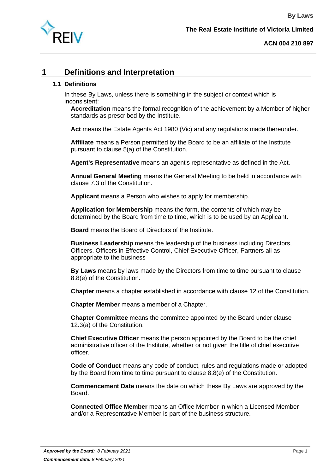

# **1 Definitions and Interpretation**

#### **1.1 Definitions**

In these By Laws, unless there is something in the subject or context which is inconsistent:

**Accreditation** means the formal recognition of the achievement by a Member of higher standards as prescribed by the Institute.

**Act** means the Estate Agents Act 1980 (Vic) and any regulations made thereunder.

**Affiliate** means a Person permitted by the Board to be an affiliate of the Institute pursuant to clause 5(a) of the Constitution.

**Agent's Representative** means an agent's representative as defined in the Act.

**Annual General Meeting** means the General Meeting to be held in accordance with clause 7.3 of the Constitution.

**Applicant** means a Person who wishes to apply for membership.

**Application for Membership** means the form, the contents of which may be determined by the Board from time to time, which is to be used by an Applicant.

**Board** means the Board of Directors of the Institute.

**Business Leadership** means the leadership of the business including Directors, Officers, Officers in Effective Control, Chief Executive Officer, Partners all as appropriate to the business

**By Laws** means by laws made by the Directors from time to time pursuant to clause 8.8(e) of the Constitution.

**Chapter** means a chapter established in accordance with clause 12 of the Constitution.

**Chapter Member** means a member of a Chapter.

**Chapter Committee** means the committee appointed by the Board under clause 12.3(a) of the Constitution.

**Chief Executive Officer** means the person appointed by the Board to be the chief administrative officer of the Institute, whether or not given the title of chief executive officer.

**Code of Conduct** means any code of conduct, rules and regulations made or adopted by the Board from time to time pursuant to clause 8.8(e) of the Constitution.

**Commencement Date** means the date on which these By Laws are approved by the Board.

**Connected Office Member** means an Office Member in which a Licensed Member and/or a Representative Member is part of the business structure.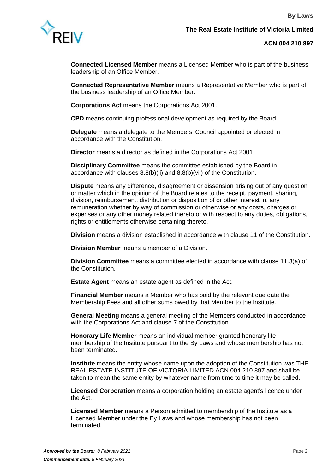

**Connected Licensed Member** means a Licensed Member who is part of the business leadership of an Office Member.

**Connected Representative Member** means a Representative Member who is part of the business leadership of an Office Member.

**Corporations Act** means the Corporations Act 2001.

**CPD** means continuing professional development as required by the Board.

**Delegate** means a delegate to the Members' Council appointed or elected in accordance with the Constitution.

**Director** means a director as defined in the Corporations Act 2001

**Disciplinary Committee** means the committee established by the Board in accordance with clauses 8.8(b)(ii) and 8.8(b)(vii) of the Constitution.

**Dispute** means any difference, disagreement or dissension arising out of any question or matter which in the opinion of the Board relates to the receipt, payment, sharing, division, reimbursement, distribution or disposition of or other interest in, any remuneration whether by way of commission or otherwise or any costs, charges or expenses or any other money related thereto or with respect to any duties, obligations, rights or entitlements otherwise pertaining thereto.

**Division** means a division established in accordance with clause 11 of the Constitution.

**Division Member** means a member of a Division.

**Division Committee** means a committee elected in accordance with clause 11.3(a) of the Constitution.

**Estate Agent** means an estate agent as defined in the Act.

**Financial Member** means a Member who has paid by the relevant due date the Membership Fees and all other sums owed by that Member to the Institute.

**General Meeting** means a general meeting of the Members conducted in accordance with the Corporations Act and clause 7 of the Constitution.

**Honorary Life Member** means an individual member granted honorary life membership of the Institute pursuant to the By Laws and whose membership has not been terminated.

**Institute** means the entity whose name upon the adoption of the Constitution was THE REAL ESTATE INSTITUTE OF VICTORIA LIMITED ACN 004 210 897 and shall be taken to mean the same entity by whatever name from time to time it may be called.

**Licensed Corporation** means a corporation holding an estate agent's licence under the Act.

**Licensed Member** means a Person admitted to membership of the Institute as a Licensed Member under the By Laws and whose membership has not been terminated.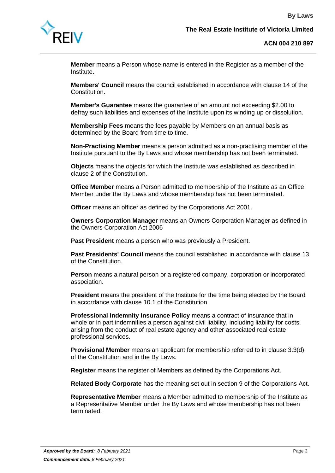

**Member** means a Person whose name is entered in the Register as a member of the Institute.

**Members' Council** means the council established in accordance with clause 14 of the Constitution.

**Member's Guarantee** means the guarantee of an amount not exceeding \$2.00 to defray such liabilities and expenses of the Institute upon its winding up or dissolution.

**Membership Fees** means the fees payable by Members on an annual basis as determined by the Board from time to time.

**Non-Practising Member** means a person admitted as a non-practising member of the Institute pursuant to the By Laws and whose membership has not been terminated.

**Objects** means the objects for which the Institute was established as described in clause 2 of the Constitution.

**Office Member** means a Person admitted to membership of the Institute as an Office Member under the By Laws and whose membership has not been terminated.

**Officer** means an officer as defined by the Corporations Act 2001.

**Owners Corporation Manager** means an Owners Corporation Manager as defined in the Owners Corporation Act 2006

**Past President** means a person who was previously a President.

**Past Presidents' Council** means the council established in accordance with clause 13 of the Constitution.

**Person** means a natural person or a registered company, corporation or incorporated association.

**President** means the president of the Institute for the time being elected by the Board in accordance with clause 10.1 of the Constitution.

**Professional Indemnity Insurance Policy** means a contract of insurance that in whole or in part indemnifies a person against civil liability, including liability for costs, arising from the conduct of real estate agency and other associated real estate professional services.

**Provisional Member** means an applicant for membership referred to in clause 3.3(d) of the Constitution and in the By Laws.

**Register** means the register of Members as defined by the Corporations Act.

**Related Body Corporate** has the meaning set out in section 9 of the Corporations Act.

**Representative Member** means a Member admitted to membership of the Institute as a Representative Member under the By Laws and whose membership has not been terminated.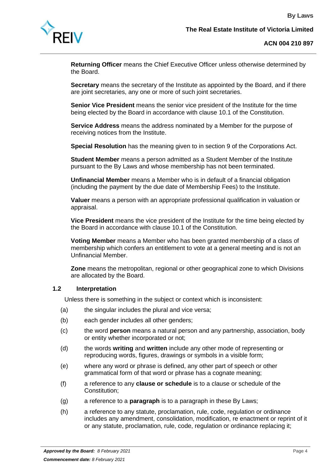

**Returning Officer** means the Chief Executive Officer unless otherwise determined by the Board.

**Secretary** means the secretary of the Institute as appointed by the Board, and if there are joint secretaries, any one or more of such joint secretaries.

**Senior Vice President** means the senior vice president of the Institute for the time being elected by the Board in accordance with clause 10.1 of the Constitution.

**Service Address** means the address nominated by a Member for the purpose of receiving notices from the Institute.

**Special Resolution** has the meaning given to in section 9 of the Corporations Act.

**Student Member** means a person admitted as a Student Member of the Institute pursuant to the By Laws and whose membership has not been terminated.

**Unfinancial Member** means a Member who is in default of a financial obligation (including the payment by the due date of Membership Fees) to the Institute.

**Valuer** means a person with an appropriate professional qualification in valuation or appraisal.

**Vice President** means the vice president of the Institute for the time being elected by the Board in accordance with clause 10.1 of the Constitution.

**Voting Member** means a Member who has been granted membership of a class of membership which confers an entitlement to vote at a general meeting and is not an Unfinancial Member.

**Zone** means the metropolitan, regional or other geographical zone to which Divisions are allocated by the Board.

#### **1.2 Interpretation**

Unless there is something in the subject or context which is inconsistent:

- (a) the singular includes the plural and vice versa;
- (b) each gender includes all other genders;
- (c) the word **person** means a natural person and any partnership, association, body or entity whether incorporated or not;
- (d) the words **writing** and **written** include any other mode of representing or reproducing words, figures, drawings or symbols in a visible form;
- (e) where any word or phrase is defined, any other part of speech or other grammatical form of that word or phrase has a cognate meaning;
- (f) a reference to any **clause or schedule** is to a clause or schedule of the Constitution;
- (g) a reference to a **paragraph** is to a paragraph in these By Laws;
- (h) a reference to any statute, proclamation, rule, code, regulation or ordinance includes any amendment, consolidation, modification, re enactment or reprint of it or any statute, proclamation, rule, code, regulation or ordinance replacing it;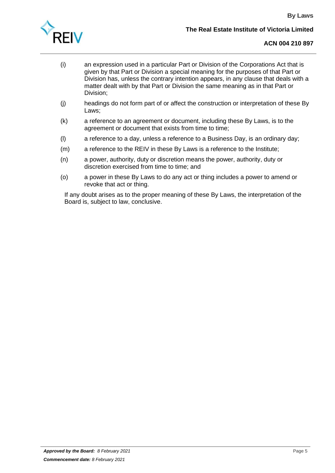

- (i) an expression used in a particular Part or Division of the Corporations Act that is given by that Part or Division a special meaning for the purposes of that Part or Division has, unless the contrary intention appears, in any clause that deals with a matter dealt with by that Part or Division the same meaning as in that Part or Division;
- (j) headings do not form part of or affect the construction or interpretation of these By Laws;
- (k) a reference to an agreement or document, including these By Laws, is to the agreement or document that exists from time to time;
- (l) a reference to a day, unless a reference to a Business Day, is an ordinary day;
- (m) a reference to the REIV in these By Laws is a reference to the Institute;
- (n) a power, authority, duty or discretion means the power, authority, duty or discretion exercised from time to time; and
- (o) a power in these By Laws to do any act or thing includes a power to amend or revoke that act or thing.

If any doubt arises as to the proper meaning of these By Laws, the interpretation of the Board is, subject to law, conclusive.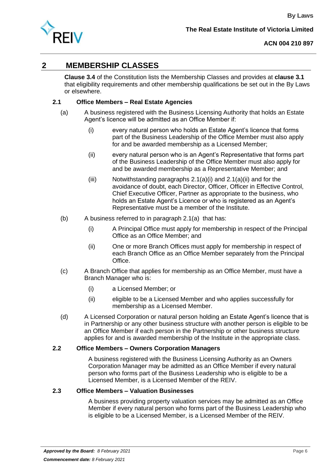

# <span id="page-7-0"></span>**2 MEMBERSHIP CLASSES**

**Clause 3.4** of the Constitution lists the Membership Classes and provides at **clause 3.1** that eligibility requirements and other membership qualifications be set out in the By Laws or elsewhere.

# <span id="page-7-6"></span><span id="page-7-5"></span>**2.1 Office Members – Real Estate Agencies**

- <span id="page-7-4"></span><span id="page-7-3"></span>(a) A business registered with the Business Licensing Authority that holds an Estate Agent's licence will be admitted as an Office Member if:
	- (i) every natural person who holds an Estate Agent's licence that forms part of the Business Leadership of the Office Member must also apply for and be awarded membership as a Licensed Member;
	- (ii) every natural person who is an Agent's Representative that forms part of the Business Leadership of the Office Member must also apply for and be awarded membership as a Representative Member; and
	- (iii) Notwithstanding paragraphs  $2.1(a)(i)$  and  $2.1(a)(ii)$  and for the avoidance of doubt, each Director, Officer, Officer in Effective Control, Chief Executive Officer, Partner as appropriate to the business, who holds an Estate Agent's Licence or who is registered as an Agent's Representative must be a member of the Institute.
- (b) A business referred to in paragraph [2.1\(a\)](#page-7-5) that has:
	- (i) A Principal Office must apply for membership in respect of the Principal Office as an Office Member; and
	- (ii) One or more Branch Offices must apply for membership in respect of each Branch Office as an Office Member separately from the Principal Office.
- (c) A Branch Office that applies for membership as an Office Member, must have a Branch Manager who is:
	- (i) a Licensed Member; or
	- (ii) eligible to be a Licensed Member and who applies successfully for membership as a Licensed Member.
- (d) A Licensed Corporation or natural person holding an Estate Agent's licence that is in Partnership or any other business structure with another person is eligible to be an Office Member if each person in the Partnership or other business structure applies for and is awarded membership of the Institute in the appropriate class.

# <span id="page-7-1"></span>**2.2 Office Members – Owners Corporation Managers**

A business registered with the Business Licensing Authority as an Owners Corporation Manager may be admitted as an Office Member if every natural person who forms part of the Business Leadership who is eligible to be a Licensed Member, is a Licensed Member of the REIV.

# <span id="page-7-2"></span>**2.3 Office Members – Valuation Businesses**

A business providing property valuation services may be admitted as an Office Member if every natural person who forms part of the Business Leadership who is eligible to be a Licensed Member, is a Licensed Member of the REIV.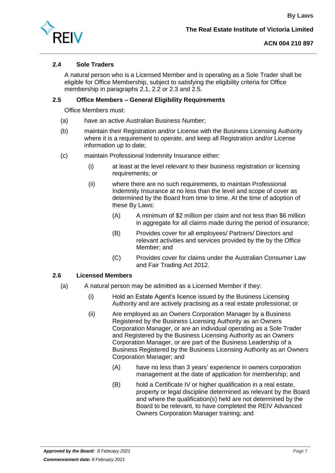

# <span id="page-8-0"></span>**2.4 Sole Traders**

A natural person who is a Licensed Member and is operating as a Sole Trader shall be eligible for Office Membership, subject to satisfying the eligibility criteria for Office membership in paragraphs [2.1,](#page-7-6) [2.2](#page-7-1) or [2.3](#page-7-2) and [2.5.](#page-8-1)

# <span id="page-8-1"></span>**2.5 Office Members – General Eligibility Requirements**

Office Members must:

- (a) have an active Australian Business Number;
- (b) maintain their Registration and/or License with the Business Licensing Authority where it is a requirement to operate, and keep all Registration and/or License information up to date;
- (c) maintain Professional Indemnity Insurance either:
	- (i) at least at the level relevant to their business registration or licensing requirements; or
	- (ii) where there are no such requirements, to maintain Professional Indemnity Insurance at no less than the level and scope of cover as determined by the Board from time to time. At the time of adoption of these By Laws:
		- (A) A minimum of \$2 million per claim and not less than \$6 million in aggregate for all claims made during the period of insurance;
		- (B) Provides cover for all employees/ Partners/ Directors and relevant activities and services provided by the by the Office Member; and
		- (C) Provides cover for claims under the Australian Consumer Law and Fair Trading Act 2012.

# <span id="page-8-2"></span>**2.6 Licensed Members**

- <span id="page-8-5"></span><span id="page-8-4"></span><span id="page-8-3"></span>(a) A natural person may be admitted as a Licensed Member if they:
	- (i) Hold an Estate Agent's licence issued by the Business Licensing Authority and are actively practising as a real estate professional; or
	- (ii) Are employed as an Owners Corporation Manager by a Business Registered by the Business Licensing Authority as an Owners Corporation Manager, or are an individual operating as a Sole Trader and Registered by the Business Licensing Authority as an Owners Corporation Manager, or are part of the Business Leadership of a Business Registered by the Business Licensing Authority as an Owners Corporation Manager; and
		- (A) have no less than 3 years' experience in owners corporation management at the date of application for membership; and
		- (B) hold a Certificate IV or higher qualification in a real estate, property or legal discipline determined as relevant by the Board and where the qualification(s) held are not determined by the Board to be relevant, to have completed the REIV Advanced Owners Corporation Manager training; and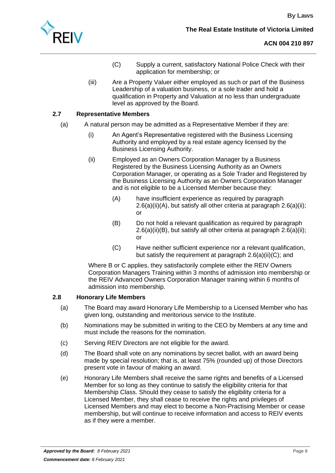<span id="page-9-2"></span>

- (C) Supply a current, satisfactory National Police Check with their application for membership; or
- (iii) Are a Property Valuer either employed as such or part of the Business Leadership of a valuation business, or a sole trader and hold a qualification in Property and Valuation at no less than undergraduate level as approved by the Board.

## <span id="page-9-0"></span>**2.7 Representative Members**

- (a) A natural person may be admitted as a Representative Member if they are:
	- (i) An Agent's Representative registered with the Business Licensing Authority and employed by a real estate agency licensed by the Business Licensing Authority.
	- (ii) Employed as an Owners Corporation Manager by a Business Registered by the Business Licensing Authority as an Owners Corporation Manager, or operating as a Sole Trader and Registered by the Business Licensing Authority as an Owners Corporation Manager and is not eligible to be a Licensed Member because they:
		- (A) have insufficient experience as required by paragraph [2.6\(a\)\(ii\)\(A\),](#page-8-3) but satisfy all other criteria at paragraph [2.6\(a\)\(ii\);](#page-8-4) or
		- (B) Do not hold a relevant qualification as required by paragraph [2.6\(a\)\(ii\)\(B\),](#page-8-5) but satisfy all other criteria at paragraph [2.6\(a\)\(ii\);](#page-8-4) or
		- (C) Have neither sufficient experience nor a relevant qualification, but satisfy the requirement at paragraph [2.6\(a\)\(ii\)\(C\);](#page-9-2) and

Where B or C applies, they satisfactorily complete either the REIV Owners Corporation Managers Training within 3 months of admission into membership or the REIV Advanced Owners Corporation Manager training within 6 months of admission into membership.

#### <span id="page-9-1"></span>**2.8 Honorary Life Members**

- (a) The Board may award Honorary Life Membership to a Licensed Member who has given long, outstanding and meritorious service to the Institute.
- (b) Nominations may be submitted in writing to the CEO by Members at any time and must include the reasons for the nomination.
- (c) Serving REIV Directors are not eligible for the award.
- (d) The Board shall vote on any nominations by secret ballot, with an award being made by special resolution; that is, at least 75% (rounded up) of those Directors present vote in favour of making an award.
- (e) Honorary Life Members shall receive the same rights and benefits of a Licensed Member for so long as they continue to satisfy the eligibility criteria for that Membership Class. Should they cease to satisfy the eligibility criteria for a Licensed Member, they shall cease to receive the rights and privileges of Licensed Members and may elect to become a Non-Practising Member or cease membership, but will continue to receive information and access to REIV events as if they were a member.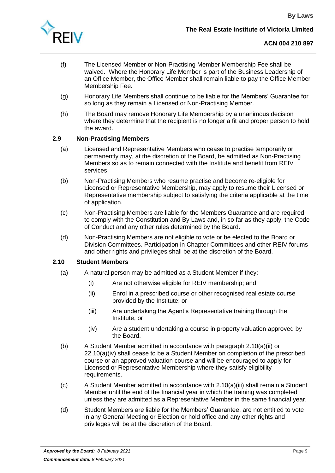

- (f) The Licensed Member or Non-Practising Member Membership Fee shall be waived. Where the Honorary Life Member is part of the Business Leadership of an Office Member, the Office Member shall remain liable to pay the Office Member Membership Fee.
- (g) Honorary Life Members shall continue to be liable for the Members' Guarantee for so long as they remain a Licensed or Non-Practising Member.
- (h) The Board may remove Honorary Life Membership by a unanimous decision where they determine that the recipient is no longer a fit and proper person to hold the award.

#### <span id="page-10-0"></span>**2.9 Non-Practising Members**

- (a) Licensed and Representative Members who cease to practise temporarily or permanently may, at the discretion of the Board, be admitted as Non-Practising Members so as to remain connected with the Institute and benefit from REIV services.
- (b) Non-Practising Members who resume practise and become re-eligible for Licensed or Representative Membership, may apply to resume their Licensed or Representative membership subject to satisfying the criteria applicable at the time of application.
- (c) Non-Practising Members are liable for the Members Guarantee and are required to comply with the Constitution and By Laws and, in so far as they apply, the Code of Conduct and any other rules determined by the Board.
- (d) Non-Practising Members are not eligible to vote or be elected to the Board or Division Committees. Participation in Chapter Committees and other REIV forums and other rights and privileges shall be at the discretion of the Board.

#### <span id="page-10-1"></span>**2.10 Student Members**

- <span id="page-10-4"></span><span id="page-10-2"></span>(a) A natural person may be admitted as a Student Member if they:
	- (i) Are not otherwise eligible for REIV membership; and
	- (ii) Enrol in a prescribed course or other recognised real estate course provided by the Institute; or
	- (iii) Are undertaking the Agent's Representative training through the Institute, or
	- (iv) Are a student undertaking a course in property valuation approved by the Board.
- <span id="page-10-3"></span>(b) A Student Member admitted in accordance with paragraph [2.10\(a\)\(ii\)](#page-10-2) or [22.10\(a\)\(iv\)](#page-10-3) shall cease to be a Student Member on completion of the prescribed course or an approved valuation course and will be encouraged to apply for Licensed or Representative Membership where they satisfy eligibility requirements.
- (c) A Student Member admitted in accordance with [2.10\(a\)\(iii\)](#page-10-4) shall remain a Student Member until the end of the financial year in which the training was completed unless they are admitted as a Representative Member in the same financial year.
- (d) Student Members are liable for the Members' Guarantee, are not entitled to vote in any General Meeting or Election or hold office and any other rights and privileges will be at the discretion of the Board.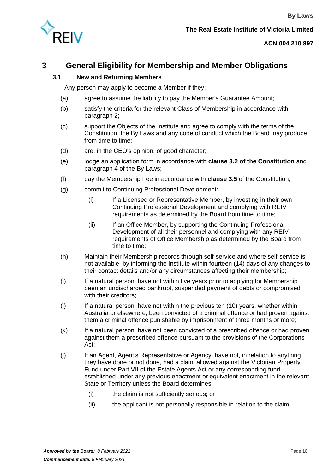

# <span id="page-11-1"></span><span id="page-11-0"></span>**3 General Eligibility for Membership and Member Obligations**

## **3.1 New and Returning Members**

Any person may apply to become a Member if they:

- (a) agree to assume the liability to pay the Member's Guarantee Amount;
- (b) satisfy the criteria for the relevant Class of Membership in accordance with paragraph [2;](#page-7-0)
- (c) support the Objects of the Institute and agree to comply with the terms of the Constitution, the By Laws and any code of conduct which the Board may produce from time to time;
- (d) are, in the CEO's opinion, of good character;
- (e) lodge an application form in accordance with **clause 3.2 of the Constitution** and paragraph [4](#page-13-0) of the By Laws;
- (f) pay the Membership Fee in accordance with **clause 3.5** of the Constitution;
- (g) commit to Continuing Professional Development:
	- (i) If a Licensed or Representative Member, by investing in their own Continuing Professional Development and complying with REIV requirements as determined by the Board from time to time;
	- (ii) If an Office Member, by supporting the Continuing Professional Development of all their personnel and complying with any REIV requirements of Office Membership as determined by the Board from time to time;
- (h) Maintain their Membership records through self-service and where self-service is not available, by informing the Institute within fourteen (14) days of any changes to their contact details and/or any circumstances affecting their membership;
- (i) If a natural person, have not within five years prior to applying for Membership been an undischarged bankrupt, suspended payment of debts or compromised with their creditors;
- (j) If a natural person, have not within the previous ten (10) years, whether within Australia or elsewhere, been convicted of a criminal offence or had proven against them a criminal offence punishable by imprisonment of three months or more;
- (k) If a natural person, have not been convicted of a prescribed offence or had proven against them a prescribed offence pursuant to the provisions of the Corporations Act;
- (l) If an Agent, Agent's Representative or Agency, have not, in relation to anything they have done or not done, had a claim allowed against the Victorian Property Fund under Part VII of the Estate Agents Act or any corresponding fund established under any previous enactment or equivalent enactment in the relevant State or Territory unless the Board determines:
	- (i) the claim is not sufficiently serious; or
	- (ii) the applicant is not personally responsible in relation to the claim;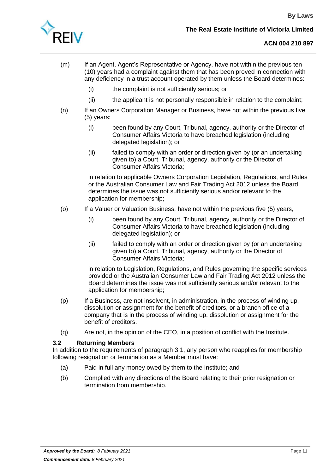

- (m) If an Agent, Agent's Representative or Agency, have not within the previous ten (10) years had a complaint against them that has been proved in connection with any deficiency in a trust account operated by them unless the Board determines:
	- (i) the complaint is not sufficiently serious; or
	- (ii) the applicant is not personally responsible in relation to the complaint;
- (n) If an Owners Corporation Manager or Business, have not within the previous five (5) years:
	- (i) been found by any Court, Tribunal, agency, authority or the Director of Consumer Affairs Victoria to have breached legislation (including delegated legislation); or
	- (ii) failed to comply with an order or direction given by (or an undertaking given to) a Court, Tribunal, agency, authority or the Director of Consumer Affairs Victoria;

in relation to applicable Owners Corporation Legislation, Regulations, and Rules or the Australian Consumer Law and Fair Trading Act 2012 unless the Board determines the issue was not sufficiently serious and/or relevant to the application for membership;

- (o) If a Valuer or Valuation Business, have not within the previous five (5) years,
	- (i) been found by any Court, Tribunal, agency, authority or the Director of Consumer Affairs Victoria to have breached legislation (including delegated legislation); or
	- (ii) failed to comply with an order or direction given by (or an undertaking given to) a Court, Tribunal, agency, authority or the Director of Consumer Affairs Victoria;

in relation to Legislation, Regulations, and Rules governing the specific services provided or the Australian Consumer Law and Fair Trading Act 2012 unless the Board determines the issue was not sufficiently serious and/or relevant to the application for membership;

- (p) If a Business, are not insolvent, in administration, in the process of winding up, dissolution or assignment for the benefit of creditors, or a branch office of a company that is in the process of winding up, dissolution or assignment for the benefit of creditors.
- (q) Are not, in the opinion of the CEO, in a position of conflict with the Institute.

# **3.2 Returning Members**

In addition to the requirements of paragraph [3.1,](#page-11-1) any person who reapplies for membership following resignation or termination as a Member must have:

- (a) Paid in full any money owed by them to the Institute; and
- (b) Complied with any directions of the Board relating to their prior resignation or termination from membership.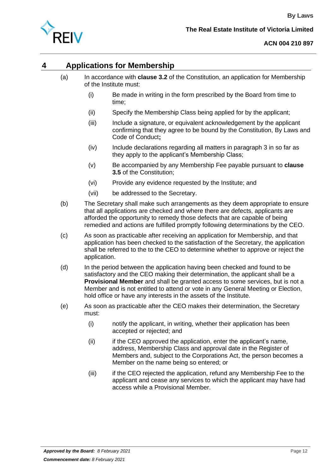

# <span id="page-13-0"></span>**4 Applications for Membership**

- (a) In accordance with **clause 3.2** of the Constitution, an application for Membership of the Institute must:
	- (i) Be made in writing in the form prescribed by the Board from time to time;
	- (ii) Specify the Membership Class being applied for by the applicant;
	- (iii) Include a signature, or equivalent acknowledgement by the applicant confirming that they agree to be bound by the Constitution, By Laws and Code of Conduct**;**
	- (iv) Include declarations regarding all matters in paragraph [3](#page-11-0) in so far as they apply to the applicant's Membership Class;
	- (v) Be accompanied by any Membership Fee payable pursuant to **clause 3.5** of the Constitution;
	- (vi) Provide any evidence requested by the Institute; and
	- (vii) be addressed to the Secretary.
- (b) The Secretary shall make such arrangements as they deem appropriate to ensure that all applications are checked and where there are defects, applicants are afforded the opportunity to remedy those defects that are capable of being remedied and actions are fulfilled promptly following determinations by the CEO.
- (c) As soon as practicable after receiving an application for Membership, and that application has been checked to the satisfaction of the Secretary, the application shall be referred to the to the CEO to determine whether to approve or reject the application.
- (d) In the period between the application having been checked and found to be satisfactory and the CEO making their determination, the applicant shall be a **Provisional Member** and shall be granted access to some services, but is not a Member and is not entitled to attend or vote in any General Meeting or Election, hold office or have any interests in the assets of the Institute.
- (e) As soon as practicable after the CEO makes their determination, the Secretary must:
	- (i) notify the applicant, in writing, whether their application has been accepted or rejected; and
	- (ii) if the CEO approved the application, enter the applicant's name, address, Membership Class and approval date in the Register of Members and, subject to the Corporations Act, the person becomes a Member on the name being so entered; or
	- (iii) if the CEO rejected the application, refund any Membership Fee to the applicant and cease any services to which the applicant may have had access while a Provisional Member.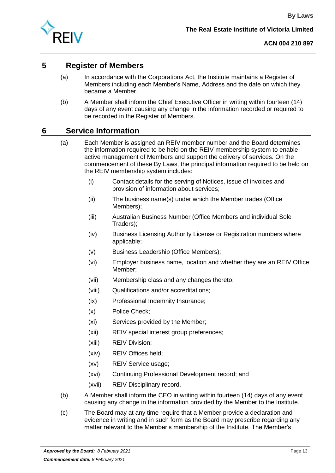

# <span id="page-14-0"></span>**5 Register of Members**

- (a) In accordance with the Corporations Act, the Institute maintains a Register of Members including each Member's Name, Address and the date on which they became a Member.
- (b) A Member shall inform the Chief Executive Officer in writing within fourteen (14) days of any event causing any change in the information recorded or required to be recorded in the Register of Members.

# <span id="page-14-1"></span>**6 Service Information**

- (a) Each Member is assigned an REIV member number and the Board determines the information required to be held on the REIV membership system to enable active management of Members and support the delivery of services. On the commencement of these By Laws, the principal information required to be held on the REIV membership system includes:
	- (i) Contact details for the serving of Notices, issue of invoices and provision of information about services;
	- (ii) The business name(s) under which the Member trades (Office Members);
	- (iii) Australian Business Number (Office Members and individual Sole Traders);
	- (iv) Business Licensing Authority License or Registration numbers where applicable;
	- (v) Business Leadership (Office Members);
	- (vi) Employer business name, location and whether they are an REIV Office Member;
	- (vii) Membership class and any changes thereto;
	- (viii) Qualifications and/or accreditations;
	- (ix) Professional Indemnity Insurance;
	- (x) Police Check;
	- (xi) Services provided by the Member;
	- (xii) REIV special interest group preferences;
	- (xiii) REIV Division;
	- (xiv) REIV Offices held;
	- (xv) REIV Service usage;
	- (xvi) Continuing Professional Development record; and
	- (xvii) REIV Disciplinary record.
- (b) A Member shall inform the CEO in writing within fourteen (14) days of any event causing any change in the information provided by the Member to the Institute.
- <span id="page-14-2"></span>(c) The Board may at any time require that a Member provide a declaration and evidence in writing and in such form as the Board may prescribe regarding any matter relevant to the Member's membership of the Institute. The Member's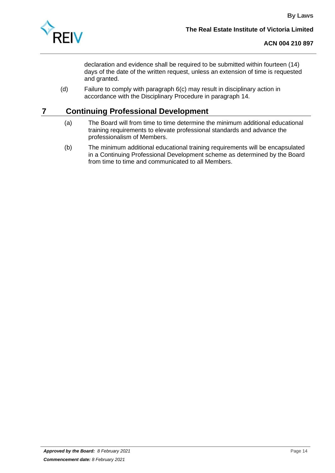

declaration and evidence shall be required to be submitted within fourteen (14) days of the date of the written request, unless an extension of time is requested and granted.

(d) Failure to comply with paragraph [6\(c\)](#page-14-2) may result in disciplinary action in accordance with the Disciplinary Procedure in paragraph [14.](#page-33-0)

# <span id="page-15-0"></span>**7 Continuing Professional Development**

- (a) The Board will from time to time determine the minimum additional educational training requirements to elevate professional standards and advance the professionalism of Members.
- (b) The minimum additional educational training requirements will be encapsulated in a Continuing Professional Development scheme as determined by the Board from time to time and communicated to all Members.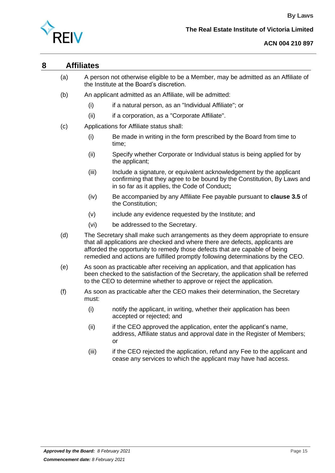

# <span id="page-16-0"></span>**8 Affiliates**

- (a) A person not otherwise eligible to be a Member, may be admitted as an Affiliate of the Institute at the Board's discretion.
- (b) An applicant admitted as an Affiliate, will be admitted:
	- (i) if a natural person, as an "Individual Affiliate"; or
	- (ii) if a corporation, as a "Corporate Affiliate".
- (c) Applications for Affiliate status shall:
	- (i) Be made in writing in the form prescribed by the Board from time to time;
	- (ii) Specify whether Corporate or Individual status is being applied for by the applicant;
	- (iii) Include a signature, or equivalent acknowledgement by the applicant confirming that they agree to be bound by the Constitution, By Laws and in so far as it applies, the Code of Conduct**;**
	- (iv) Be accompanied by any Affiliate Fee payable pursuant to **clause 3.5** of the Constitution;
	- (v) include any evidence requested by the Institute; and
	- (vi) be addressed to the Secretary.
- (d) The Secretary shall make such arrangements as they deem appropriate to ensure that all applications are checked and where there are defects, applicants are afforded the opportunity to remedy those defects that are capable of being remedied and actions are fulfilled promptly following determinations by the CEO.
- (e) As soon as practicable after receiving an application, and that application has been checked to the satisfaction of the Secretary, the application shall be referred to the CEO to determine whether to approve or reject the application.
- (f) As soon as practicable after the CEO makes their determination, the Secretary must:
	- (i) notify the applicant, in writing, whether their application has been accepted or rejected; and
	- (ii) if the CEO approved the application, enter the applicant's name, address, Affiliate status and approval date in the Register of Members; or
	- (iii) if the CEO rejected the application, refund any Fee to the applicant and cease any services to which the applicant may have had access.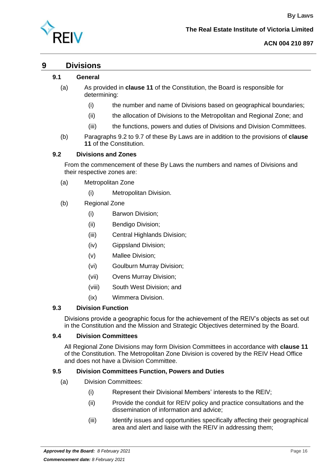

**By Laws**

# <span id="page-17-0"></span>**9 Divisions**

#### **9.1 General**

- (a) As provided in **clause 11** of the Constitution, the Board is responsible for determining:
	- (i) the number and name of Divisions based on geographical boundaries;
	- (ii) the allocation of Divisions to the Metropolitan and Regional Zone; and
	- (iii) the functions, powers and duties of Divisions and Division Committees.
- (b) Paragraphs 9.2 to 9.7 of these By Laws are in addition to the provisions of **clause 11** of the Constitution.

#### **9.2 Divisions and Zones**

From the commencement of these By Laws the numbers and names of Divisions and their respective zones are:

- (a) Metropolitan Zone
	- (i) Metropolitan Division.
- (b) Regional Zone
	- (i) Barwon Division;
	- (ii) Bendigo Division;
	- (iii) Central Highlands Division;
	- (iv) Gippsland Division;
	- (v) Mallee Division;
	- (vi) Goulburn Murray Division;
	- (vii) Ovens Murray Division;
	- (viii) South West Division; and
	- (ix) Wimmera Division.

#### **9.3 Division Function**

Divisions provide a geographic focus for the achievement of the REIV's objects as set out in the Constitution and the Mission and Strategic Objectives determined by the Board.

#### **9.4 Division Committees**

All Regional Zone Divisions may form Division Committees in accordance with **clause 11** of the Constitution. The Metropolitan Zone Division is covered by the REIV Head Office and does not have a Division Committee.

#### **9.5 Division Committees Function, Powers and Duties**

- (a) Division Committees:
	- (i) Represent their Divisional Members' interests to the REIV;
	- (ii) Provide the conduit for REIV policy and practice consultations and the dissemination of information and advice;
	- (iii) Identify issues and opportunities specifically affecting their geographical area and alert and liaise with the REIV in addressing them;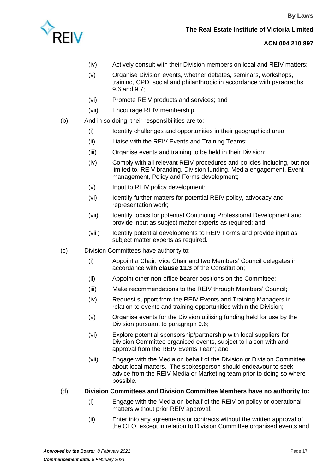

- (iv) Actively consult with their Division members on local and REIV matters;
- (v) Organise Division events, whether debates, seminars, workshops, training, CPD, social and philanthropic in accordance with paragraphs 9.6 and 9.7;
- (vi) Promote REIV products and services; and
- (vii) Encourage REIV membership.
- (b) And in so doing, their responsibilities are to:
	- (i) Identify challenges and opportunities in their geographical area;
	- (ii) Liaise with the REIV Events and Training Teams;
	- (iii) Organise events and training to be held in their Division;
	- (iv) Comply with all relevant REIV procedures and policies including, but not limited to, REIV branding, Division funding, Media engagement, Event management, Policy and Forms development;
	- (v) Input to REIV policy development;
	- (vi) Identify further matters for potential REIV policy, advocacy and representation work;
	- (vii) Identify topics for potential Continuing Professional Development and provide input as subject matter experts as required; and
	- (viii) Identify potential developments to REIV Forms and provide input as subject matter experts as required.
- (c) Division Committees have authority to:
	- (i) Appoint a Chair, Vice Chair and two Members' Council delegates in accordance with **clause 11.3** of the Constitution;
	- (ii) Appoint other non-office bearer positions on the Committee;
	- (iii) Make recommendations to the REIV through Members' Council;
	- (iv) Request support from the REIV Events and Training Managers in relation to events and training opportunities within the Division;
	- (v) Organise events for the Division utilising funding held for use by the Division pursuant to paragraph 9.6;
	- (vi) Explore potential sponsorship/partnership with local suppliers for Division Committee organised events, subject to liaison with and approval from the REIV Events Team; and
	- (vii) Engage with the Media on behalf of the Division or Division Committee about local matters. The spokesperson should endeavour to seek advice from the REIV Media or Marketing team prior to doing so where possible.

#### (d) **Division Committees and Division Committee Members have no authority to:**

- (i) Engage with the Media on behalf of the REIV on policy or operational matters without prior REIV approval;
- (ii) Enter into any agreements or contracts without the written approval of the CEO, except in relation to Division Committee organised events and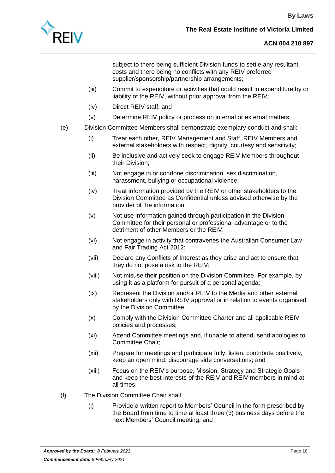

subject to there being sufficient Division funds to settle any resultant costs and there being no conflicts with any REIV preferred supplier/sponsorship/partnership arrangements;

- (iii) Commit to expenditure or activities that could result in expenditure by or liability of the REIV, without prior approval from the REIV;
- (iv) Direct REIV staff; and
- (v) Determine REIV policy or process on internal or external matters.
- (e) Division Committee Members shall demonstrate exemplary conduct and shall:
	- (i) Treat each other, REIV Management and Staff, REIV Members and external stakeholders with respect, dignity, courtesy and sensitivity;
	- (ii) Be inclusive and actively seek to engage REIV Members throughout their Division;
	- (iii) Not engage in or condone discrimination, sex discrimination, harassment, bullying or occupational violence;
	- (iv) Treat information provided by the REIV or other stakeholders to the Division Committee as Confidential unless advised otherwise by the provider of the information;
	- (v) Not use information gained through participation in the Division Committee for their personal or professional advantage or to the detriment of other Members or the REIV;
	- (vi) Not engage in activity that contravenes the Australian Consumer Law and Fair Trading Act 2012;
	- (vii) Declare any Conflicts of Interest as they arise and act to ensure that they do not pose a risk to the REIV;
	- (viii) Not misuse their position on the Division Committee. For example, by using it as a platform for pursuit of a personal agenda;
	- (ix) Represent the Division and/or REIV to the Media and other external stakeholders only with REIV approval or in relation to events organised by the Division Committee;
	- (x) Comply with the Division Committee Charter and all applicable REIV policies and processes;
	- (xi) Attend Committee meetings and, if unable to attend, send apologies to Committee Chair;
	- (xii) Prepare for meetings and participate fully: listen, contribute positively, keep an open mind, discourage side conversations; and
	- (xiii) Focus on the REIV's purpose, Mission, Strategy and Strategic Goals and keep the best interests of the REIV and REIV members in mind at all times.
- (f) The Division Committee Chair shall
	- (i) Provide a written report to Members' Council in the form prescribed by the Board from time to time at least three (3) business days before the next Members' Council meeting; and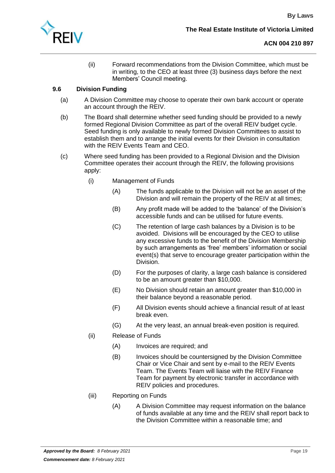

(ii) Forward recommendations from the Division Committee, which must be in writing, to the CEO at least three (3) business days before the next Members' Council meeting.

# **9.6 Division Funding**

- (a) A Division Committee may choose to operate their own bank account or operate an account through the REIV.
- (b) The Board shall determine whether seed funding should be provided to a newly formed Regional Division Committee as part of the overall REIV budget cycle. Seed funding is only available to newly formed Division Committees to assist to establish them and to arrange the initial events for their Division in consultation with the REIV Events Team and CEO.
- (c) Where seed funding has been provided to a Regional Division and the Division Committee operates their account through the REIV, the following provisions apply:
	- (i) Management of Funds
		- (A) The funds applicable to the Division will not be an asset of the Division and will remain the property of the REIV at all times;
		- (B) Any profit made will be added to the 'balance' of the Division's accessible funds and can be utilised for future events.
		- (C) The retention of large cash balances by a Division is to be avoided. Divisions will be encouraged by the CEO to utilise any excessive funds to the benefit of the Division Membership by such arrangements as 'free' members' information or social event(s) that serve to encourage greater participation within the Division.
		- (D) For the purposes of clarity, a large cash balance is considered to be an amount greater than \$10,000.
		- (E) No Division should retain an amount greater than \$10,000 in their balance beyond a reasonable period.
		- (F) All Division events should achieve a financial result of at least break even.
		- (G) At the very least, an annual break-even position is required.
	- (ii) Release of Funds
		- (A) Invoices are required; and
		- (B) Invoices should be countersigned by the Division Committee Chair or Vice Chair and sent by e-mail to the REIV Events Team. The Events Team will liaise with the REIV Finance Team for payment by electronic transfer in accordance with REIV policies and procedures.
	- (iii) Reporting on Funds
		- (A) A Division Committee may request information on the balance of funds available at any time and the REIV shall report back to the Division Committee within a reasonable time; and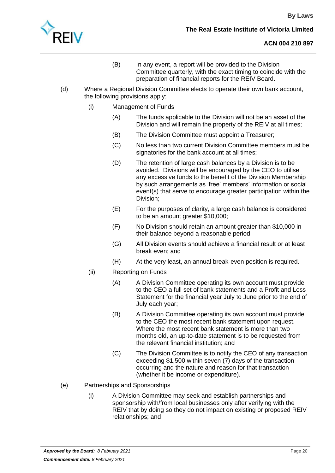

- (B) In any event, a report will be provided to the Division Committee quarterly, with the exact timing to coincide with the preparation of financial reports for the REIV Board.
- (d) Where a Regional Division Committee elects to operate their own bank account, the following provisions apply:
	- (i) Management of Funds
		- (A) The funds applicable to the Division will not be an asset of the Division and will remain the property of the REIV at all times;
		- (B) The Division Committee must appoint a Treasurer;
		- (C) No less than two current Division Committee members must be signatories for the bank account at all times;
		- (D) The retention of large cash balances by a Division is to be avoided. Divisions will be encouraged by the CEO to utilise any excessive funds to the benefit of the Division Membership by such arrangements as 'free' members' information or social event(s) that serve to encourage greater participation within the Division;
		- (E) For the purposes of clarity, a large cash balance is considered to be an amount greater \$10,000;
		- (F) No Division should retain an amount greater than \$10,000 in their balance beyond a reasonable period;
		- (G) All Division events should achieve a financial result or at least break even; and
		- (H) At the very least, an annual break-even position is required.
	- (ii) Reporting on Funds
		- (A) A Division Committee operating its own account must provide to the CEO a full set of bank statements and a Profit and Loss Statement for the financial year July to June prior to the end of July each year;
			- (B) A Division Committee operating its own account must provide to the CEO the most recent bank statement upon request. Where the most recent bank statement is more than two months old, an up-to-date statement is to be requested from the relevant financial institution; and
			- (C) The Division Committee is to notify the CEO of any transaction exceeding \$1,500 within seven (7) days of the transaction occurring and the nature and reason for that transaction (whether it be income or expenditure).
- (e) Partnerships and Sponsorships
	- (i) A Division Committee may seek and establish partnerships and sponsorship with/from local businesses only after verifying with the REIV that by doing so they do not impact on existing or proposed REIV relationships; and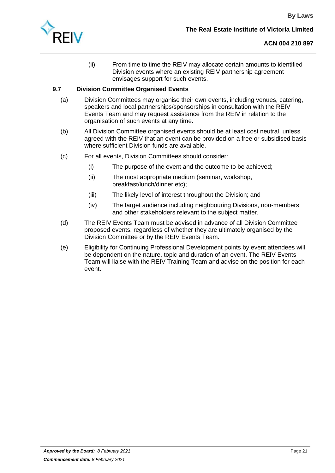(ii) From time to time the REIV may allocate certain amounts to identified Division events where an existing REIV partnership agreement envisages support for such events.

# **9.7 Division Committee Organised Events**

- (a) Division Committees may organise their own events, including venues, catering, speakers and local partnerships/sponsorships in consultation with the REIV Events Team and may request assistance from the REIV in relation to the organisation of such events at any time.
- (b) All Division Committee organised events should be at least cost neutral, unless agreed with the REIV that an event can be provided on a free or subsidised basis where sufficient Division funds are available.
- (c) For all events, Division Committees should consider:
	- (i) The purpose of the event and the outcome to be achieved;
	- (ii) The most appropriate medium (seminar, workshop, breakfast/lunch/dinner etc);
	- (iii) The likely level of interest throughout the Division; and
	- (iv) The target audience including neighbouring Divisions, non-members and other stakeholders relevant to the subject matter.
- (d) The REIV Events Team must be advised in advance of all Division Committee proposed events, regardless of whether they are ultimately organised by the Division Committee or by the REIV Events Team.
- (e) Eligibility for Continuing Professional Development points by event attendees will be dependent on the nature, topic and duration of an event. The REIV Events Team will liaise with the REIV Training Team and advise on the position for each event.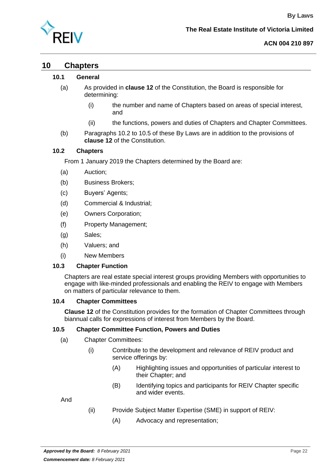

# <span id="page-23-0"></span>**10 Chapters**

#### **10.1 General**

- (a) As provided in **clause 12** of the Constitution, the Board is responsible for determining:
	- (i) the number and name of Chapters based on areas of special interest, and
	- (ii) the functions, powers and duties of Chapters and Chapter Committees.
- (b) Paragraphs [10.2](#page-23-1) to [10.5](#page-23-2) of these By Laws are in addition to the provisions of **clause 12** of the Constitution.

#### <span id="page-23-1"></span>**10.2 Chapters**

From 1 January 2019 the Chapters determined by the Board are:

- (a) Auction;
- (b) Business Brokers;
- (c) Buyers' Agents;
- (d) Commercial & Industrial;
- (e) Owners Corporation;
- (f) Property Management;
- (g) Sales;
- (h) Valuers; and
- (i) New Members

#### **10.3 Chapter Function**

Chapters are real estate special interest groups providing Members with opportunities to engage with like-minded professionals and enabling the REIV to engage with Members on matters of particular relevance to them.

#### **10.4 Chapter Committees**

**Clause 12** of the Constitution provides for the formation of Chapter Committees through biannual calls for expressions of interest from Members by the Board.

#### <span id="page-23-2"></span>**10.5 Chapter Committee Function, Powers and Duties**

#### (a) Chapter Committees:

- (i) Contribute to the development and relevance of REIV product and service offerings by:
	- (A) Highlighting issues and opportunities of particular interest to their Chapter; and
	- (B) Identifying topics and participants for REIV Chapter specific and wider events.

And

- (ii) Provide Subject Matter Expertise (SME) in support of REIV:
	- (A) Advocacy and representation;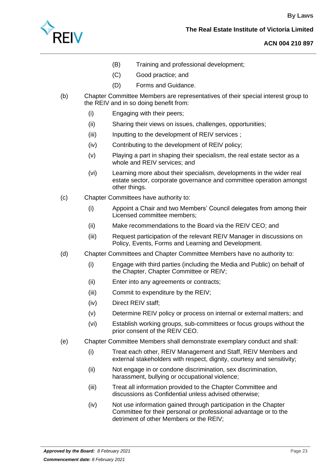

- (B) Training and professional development;
- (C) Good practice; and
- (D) Forms and Guidance.
- (b) Chapter Committee Members are representatives of their special interest group to the REIV and in so doing benefit from:
	- (i) Engaging with their peers;
	- (ii) Sharing their views on issues, challenges, opportunities;
	- (iii) Inputting to the development of REIV services;
	- (iv) Contributing to the development of REIV policy;
	- (v) Playing a part in shaping their specialism, the real estate sector as a whole and REIV services; and
	- (vi) Learning more about their specialism, developments in the wider real estate sector, corporate governance and committee operation amongst other things.
- (c) Chapter Committees have authority to:
	- (i) Appoint a Chair and two Members' Council delegates from among their Licensed committee members;
	- (ii) Make recommendations to the Board via the REIV CEO; and
	- (iii) Request participation of the relevant REIV Manager in discussions on Policy, Events, Forms and Learning and Development.
- (d) Chapter Committees and Chapter Committee Members have no authority to:
	- (i) Engage with third parties (including the Media and Public) on behalf of the Chapter, Chapter Committee or REIV;
	- (ii) Enter into any agreements or contracts;
	- (iii) Commit to expenditure by the REIV;
	- (iv) Direct REIV staff;
	- (v) Determine REIV policy or process on internal or external matters; and
	- (vi) Establish working groups, sub-committees or focus groups without the prior consent of the REIV CEO.
- (e) Chapter Committee Members shall demonstrate exemplary conduct and shall:
	- (i) Treat each other, REIV Management and Staff, REIV Members and external stakeholders with respect, dignity, courtesy and sensitivity;
	- (ii) Not engage in or condone discrimination, sex discrimination, harassment, bullying or occupational violence;
	- (iii) Treat all information provided to the Chapter Committee and discussions as Confidential unless advised otherwise;
	- (iv) Not use information gained through participation in the Chapter Committee for their personal or professional advantage or to the detriment of other Members or the REIV;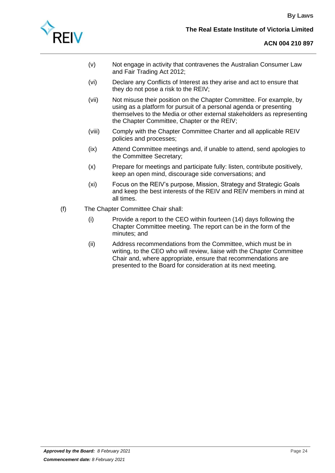

- (v) Not engage in activity that contravenes the Australian Consumer Law and Fair Trading Act 2012;
- (vi) Declare any Conflicts of Interest as they arise and act to ensure that they do not pose a risk to the REIV;
- (vii) Not misuse their position on the Chapter Committee. For example, by using as a platform for pursuit of a personal agenda or presenting themselves to the Media or other external stakeholders as representing the Chapter Committee, Chapter or the REIV;
- (viii) Comply with the Chapter Committee Charter and all applicable REIV policies and processes;
- (ix) Attend Committee meetings and, if unable to attend, send apologies to the Committee Secretary;
- (x) Prepare for meetings and participate fully: listen, contribute positively, keep an open mind, discourage side conversations; and
- (xi) Focus on the REIV's purpose, Mission, Strategy and Strategic Goals and keep the best interests of the REIV and REIV members in mind at all times.
- (f) The Chapter Committee Chair shall:
	- (i) Provide a report to the CEO within fourteen (14) days following the Chapter Committee meeting. The report can be in the form of the minutes; and
	- (ii) Address recommendations from the Committee, which must be in writing, to the CEO who will review, liaise with the Chapter Committee Chair and, where appropriate, ensure that recommendations are presented to the Board for consideration at its next meeting.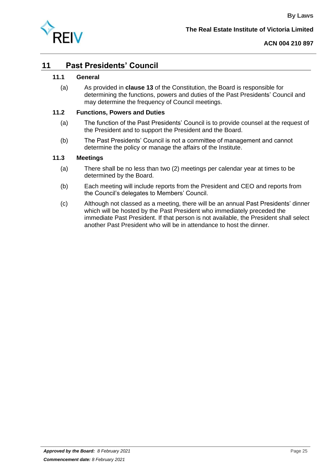

# <span id="page-26-0"></span>**11 Past Presidents' Council**

#### **11.1 General**

(a) As provided in **clause 13** of the Constitution, the Board is responsible for determining the functions, powers and duties of the Past Presidents' Council and may determine the frequency of Council meetings.

#### **11.2 Functions, Powers and Duties**

- (a) The function of the Past Presidents' Council is to provide counsel at the request of the President and to support the President and the Board.
- (b) The Past Presidents' Council is not a committee of management and cannot determine the policy or manage the affairs of the Institute.

#### **11.3 Meetings**

- (a) There shall be no less than two (2) meetings per calendar year at times to be determined by the Board.
- (b) Each meeting will include reports from the President and CEO and reports from the Council's delegates to Members' Council.
- (c) Although not classed as a meeting, there will be an annual Past Presidents' dinner which will be hosted by the Past President who immediately preceded the immediate Past President. If that person is not available, the President shall select another Past President who will be in attendance to host the dinner.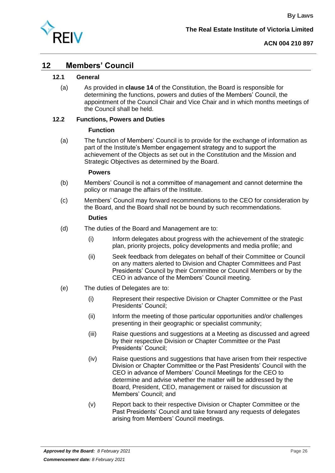

# <span id="page-27-0"></span>**12 Members' Council**

#### **12.1 General**

(a) As provided in **clause 14** of the Constitution, the Board is responsible for determining the functions, powers and duties of the Members' Council, the appointment of the Council Chair and Vice Chair and in which months meetings of the Council shall be held.

#### **12.2 Functions, Powers and Duties**

#### **Function**

(a) The function of Members' Council is to provide for the exchange of information as part of the Institute's Member engagement strategy and to support the achievement of the Objects as set out in the Constitution and the Mission and Strategic Objectives as determined by the Board.

#### **Powers**

- (b) Members' Council is not a committee of management and cannot determine the policy or manage the affairs of the Institute.
- (c) Members' Council may forward recommendations to the CEO for consideration by the Board, and the Board shall not be bound by such recommendations.

#### **Duties**

- (d) The duties of the Board and Management are to:
	- (i) Inform delegates about progress with the achievement of the strategic plan, priority projects, policy developments and media profile; and
	- (ii) Seek feedback from delegates on behalf of their Committee or Council on any matters alerted to Division and Chapter Committees and Past Presidents' Council by their Committee or Council Members or by the CEO in advance of the Members' Council meeting.
- (e) The duties of Delegates are to:
	- (i) Represent their respective Division or Chapter Committee or the Past Presidents' Council;
	- (ii) Inform the meeting of those particular opportunities and/or challenges presenting in their geographic or specialist community;
	- (iii) Raise questions and suggestions at a Meeting as discussed and agreed by their respective Division or Chapter Committee or the Past Presidents' Council;
	- (iv) Raise questions and suggestions that have arisen from their respective Division or Chapter Committee or the Past Presidents' Council with the CEO in advance of Members' Council Meetings for the CEO to determine and advise whether the matter will be addressed by the Board, President, CEO, management or raised for discussion at Members' Council; and
	- (v) Report back to their respective Division or Chapter Committee or the Past Presidents' Council and take forward any requests of delegates arising from Members' Council meetings.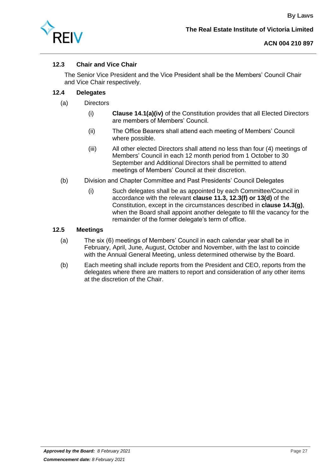

# **12.3 Chair and Vice Chair**

The Senior Vice President and the Vice President shall be the Members' Council Chair and Vice Chair respectively.

# **12.4 Delegates**

- (a) Directors
	- (i) **Clause 14.1(a)(iv)** of the Constitution provides that all Elected Directors are members of Members' Council.
	- (ii) The Office Bearers shall attend each meeting of Members' Council where possible.
	- (iii) All other elected Directors shall attend no less than four (4) meetings of Members' Council in each 12 month period from 1 October to 30 September and Additional Directors shall be permitted to attend meetings of Members' Council at their discretion.
- (b) Division and Chapter Committee and Past Presidents' Council Delegates
	- (i) Such delegates shall be as appointed by each Committee/Council in accordance with the relevant **clause 11.3, 12.3(f) or 13(d)** of the Constitution, except in the circumstances described in **clause 14.3(g)**, when the Board shall appoint another delegate to fill the vacancy for the remainder of the former delegate's term of office.

#### **12.5 Meetings**

- (a) The six (6) meetings of Members' Council in each calendar year shall be in February, April, June, August, October and November, with the last to coincide with the Annual General Meeting, unless determined otherwise by the Board.
- (b) Each meeting shall include reports from the President and CEO, reports from the delegates where there are matters to report and consideration of any other items at the discretion of the Chair.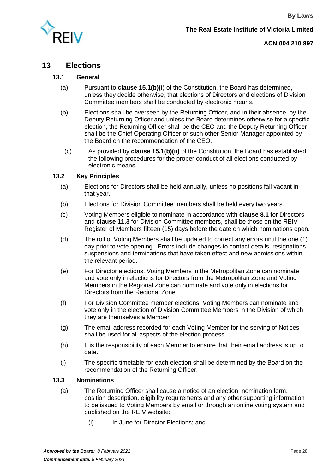

# <span id="page-29-0"></span>**13 Elections**

#### **13.1 General**

- (a) Pursuant to **clause 15.1(b)(i**) of the Constitution, the Board has determined, unless they decide otherwise, that elections of Directors and elections of Division Committee members shall be conducted by electronic means.
- (b) Elections shall be overseen by the Returning Officer, and in their absence, by the Deputy Returning Officer and unless the Board determines otherwise for a specific election, the Returning Officer shall be the CEO and the Deputy Returning Officer shall be the Chief Operating Officer or such other Senior Manager appointed by the Board on the recommendation of the CEO.
	- (c) As provided by **clause 15.1(b)(ii)** of the Constitution, the Board has established the following procedures for the proper conduct of all elections conducted by electronic means.

#### **13.2 Key Principles**

- (a) Elections for Directors shall be held annually, unless no positions fall vacant in that year.
- (b) Elections for Division Committee members shall be held every two years.
- <span id="page-29-1"></span>(c) Voting Members eligible to nominate in accordance with **clause 8.1** for Directors and **clause 11.3** for Division Committee members, shall be those on the REIV Register of Members fifteen (15) days before the date on which nominations open.
- (d) The roll of Voting Members shall be updated to correct any errors until the one (1) day prior to vote opening. Errors include changes to contact details, resignations, suspensions and terminations that have taken effect and new admissions within the relevant period.
- (e) For Director elections, Voting Members in the Metropolitan Zone can nominate and vote only in elections for Directors from the Metropolitan Zone and Voting Members in the Regional Zone can nominate and vote only in elections for Directors from the Regional Zone.
- (f) For Division Committee member elections, Voting Members can nominate and vote only in the election of Division Committee Members in the Division of which they are themselves a Member.
- (g) The email address recorded for each Voting Member for the serving of Notices shall be used for all aspects of the election process.
- (h) It is the responsibility of each Member to ensure that their email address is up to date.
- (i) The specific timetable for each election shall be determined by the Board on the recommendation of the Returning Officer.

#### **13.3 Nominations**

- (a) The Returning Officer shall cause a notice of an election, nomination form, position description, eligibility requirements and any other supporting information to be issued to Voting Members by email or through an online voting system and published on the REIV website:
	- (i) In June for Director Elections; and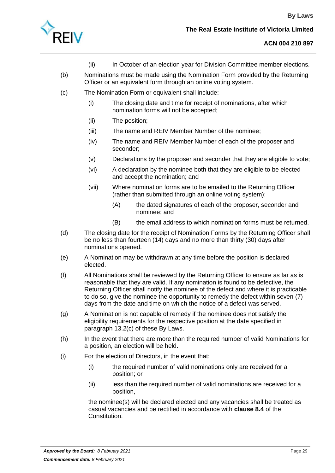

- (ii) In October of an election year for Division Committee member elections.
- (b) Nominations must be made using the Nomination Form provided by the Returning Officer or an equivalent form through an online voting system.
- (c) The Nomination Form or equivalent shall include:
	- (i) The closing date and time for receipt of nominations, after which nomination forms will not be accepted;
	- (ii) The position;
	- (iii) The name and REIV Member Number of the nominee;
	- (iv) The name and REIV Member Number of each of the proposer and seconder;
	- (v) Declarations by the proposer and seconder that they are eligible to vote;
	- (vi) A declaration by the nominee both that they are eligible to be elected and accept the nomination; and
	- (vii) Where nomination forms are to be emailed to the Returning Officer (rather than submitted through an online voting system):
		- (A) the dated signatures of each of the proposer, seconder and nominee; and
		- (B) the email address to which nomination forms must be returned.
- (d) The closing date for the receipt of Nomination Forms by the Returning Officer shall be no less than fourteen (14) days and no more than thirty (30) days after nominations opened.
- (e) A Nomination may be withdrawn at any time before the position is declared elected.
- (f) All Nominations shall be reviewed by the Returning Officer to ensure as far as is reasonable that they are valid. If any nomination is found to be defective, the Returning Officer shall notify the nominee of the defect and where it is practicable to do so, give the nominee the opportunity to remedy the defect within seven (7) days from the date and time on which the notice of a defect was served.
- (g) A Nomination is not capable of remedy if the nominee does not satisfy the eligibility requirements for the respective position at the date specified in paragraph [13.2\(c\)](#page-29-1) of these By Laws.
- (h) In the event that there are more than the required number of valid Nominations for a position, an election will be held.
- (i) For the election of Directors, in the event that:
	- (i) the required number of valid nominations only are received for a position; or
	- (ii) less than the required number of valid nominations are received for a position,

the nominee(s) will be declared elected and any vacancies shall be treated as casual vacancies and be rectified in accordance with **clause 8.4** of the Constitution.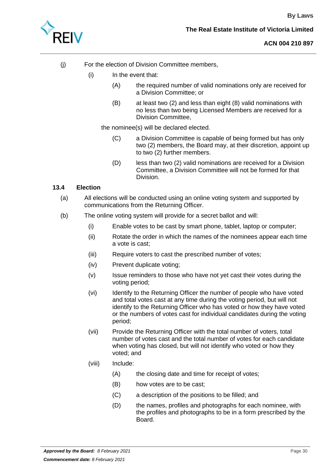

- (j) For the election of Division Committee members,
	- (i) In the event that:
		- (A) the required number of valid nominations only are received for a Division Committee; or
		- (B) at least two (2) and less than eight (8) valid nominations with no less than two being Licensed Members are received for a Division Committee,

the nominee(s) will be declared elected.

- (C) a Division Committee is capable of being formed but has only two (2) members, the Board may, at their discretion, appoint up to two (2) further members.
- (D) less than two (2) valid nominations are received for a Division Committee, a Division Committee will not be formed for that Division.

#### **13.4 Election**

- (a) All elections will be conducted using an online voting system and supported by communications from the Returning Officer.
- (b) The online voting system will provide for a secret ballot and will:
	- (i) Enable votes to be cast by smart phone, tablet, laptop or computer;
	- (ii) Rotate the order in which the names of the nominees appear each time a vote is cast;
	- (iii) Require voters to cast the prescribed number of votes;
	- (iv) Prevent duplicate voting;
	- (v) Issue reminders to those who have not yet cast their votes during the voting period;
	- (vi) Identify to the Returning Officer the number of people who have voted and total votes cast at any time during the voting period, but will not identify to the Returning Officer who has voted or how they have voted or the numbers of votes cast for individual candidates during the voting period;
	- (vii) Provide the Returning Officer with the total number of voters, total number of votes cast and the total number of votes for each candidate when voting has closed, but will not identify who voted or how they voted; and

#### (viii) Include:

- (A) the closing date and time for receipt of votes;
- (B) how votes are to be cast;
- (C) a description of the positions to be filled; and
- (D) the names, profiles and photographs for each nominee, with the profiles and photographs to be in a form prescribed by the Board.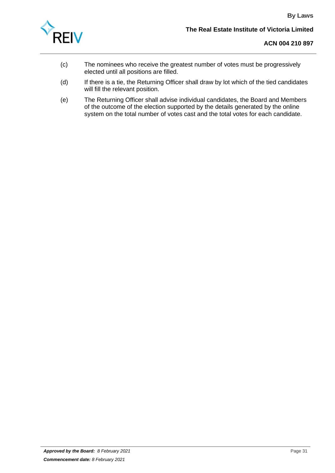

- (c) The nominees who receive the greatest number of votes must be progressively elected until all positions are filled.
- (d) If there is a tie, the Returning Officer shall draw by lot which of the tied candidates will fill the relevant position.
- (e) The Returning Officer shall advise individual candidates, the Board and Members of the outcome of the election supported by the details generated by the online system on the total number of votes cast and the total votes for each candidate.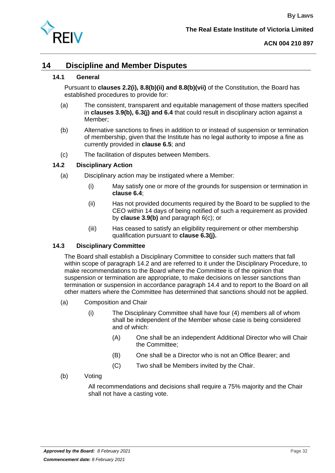

# <span id="page-33-0"></span>**14 Discipline and Member Disputes**

## **14.1 General**

Pursuant to **clauses 2.2(i), 8.8(b)(ii) and 8.8(b)(vii)** of the Constitution, the Board has established procedures to provide for:

- (a) The consistent, transparent and equitable management of those matters specified in **clauses 3.9(b), 6.3(j) and 6.4** that could result in disciplinary action against a Member;
- (b) Alternative sanctions to fines in addition to or instead of suspension or termination of membership, given that the Institute has no legal authority to impose a fine as currently provided in **clause 6.5**; and
- (c) The facilitation of disputes between Members.

## <span id="page-33-1"></span>**14.2 Disciplinary Action**

- (a) Disciplinary action may be instigated where a Member:
	- (i) May satisfy one or more of the grounds for suspension or termination in **clause 6.4**;
	- (ii) Has not provided documents required by the Board to be supplied to the CEO within 14 days of being notified of such a requirement as provided by **clause 3.9(b)** and paragraph 6(c); or
	- (iii) Has ceased to satisfy an eligibility requirement or other membership qualification pursuant to **clause 6.3(j).**

# **14.3 Disciplinary Committee**

The Board shall establish a Disciplinary Committee to consider such matters that fall within scope of paragraph [14.2](#page-33-1) and are referred to it under the Disciplinary Procedure, to make recommendations to the Board where the Committee is of the opinion that suspension or termination are appropriate, to make decisions on lesser sanctions than termination or suspension in accordance paragraph [14.4](#page-34-0) and to report to the Board on all other matters where the Committee has determined that sanctions should not be applied.

- (a) Composition and Chair
	- (i) The Disciplinary Committee shall have four (4) members all of whom shall be independent of the Member whose case is being considered and of which:
		- (A) One shall be an independent Additional Director who will Chair the Committee;
		- (B) One shall be a Director who is not an Office Bearer; and
		- (C) Two shall be Members invited by the Chair.
- (b) Voting

All recommendations and decisions shall require a 75% majority and the Chair shall not have a casting vote.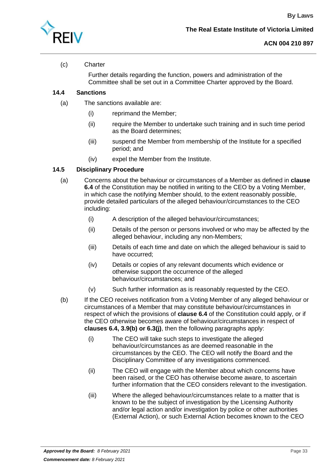

# (c) Charter

Further details regarding the function, powers and administration of the Committee shall be set out in a Committee Charter approved by the Board.

# <span id="page-34-0"></span>**14.4 Sanctions**

- (a) The sanctions available are:
	- (i) reprimand the Member;
	- (ii) require the Member to undertake such training and in such time period as the Board determines;
	- (iii) suspend the Member from membership of the Institute for a specified period; and
	- (iv) expel the Member from the Institute.

#### <span id="page-34-1"></span>**14.5 Disciplinary Procedure**

- (a) Concerns about the behaviour or circumstances of a Member as defined in **clause 6.4** of the Constitution may be notified in writing to the CEO by a Voting Member, in which case the notifying Member should, to the extent reasonably possible, provide detailed particulars of the alleged behaviour/circumstances to the CEO including:
	- (i) A description of the alleged behaviour/circumstances;
	- (ii) Details of the person or persons involved or who may be affected by the alleged behaviour, including any non-Members;
	- (iii) Details of each time and date on which the alleged behaviour is said to have occurred;
	- (iv) Details or copies of any relevant documents which evidence or otherwise support the occurrence of the alleged behaviour/circumstances; and
	- (v) Such further information as is reasonably requested by the CEO.
- (b) If the CEO receives notification from a Voting Member of any alleged behaviour or circumstances of a Member that may constitute behaviour/circumstances in respect of which the provisions of **clause 6.4** of the Constitution could apply, or if the CEO otherwise becomes aware of behaviour/circumstances in respect of **clauses 6.4, 3.9(b) or 6.3(j)**, then the following paragraphs apply:
	- (i) The CEO will take such steps to investigate the alleged behaviour/circumstances as are deemed reasonable in the circumstances by the CEO. The CEO will notify the Board and the Disciplinary Committee of any investigations commenced.
	- (ii) The CEO will engage with the Member about which concerns have been raised, or the CEO has otherwise become aware, to ascertain further information that the CEO considers relevant to the investigation.
	- (iii) Where the alleged behaviour/circumstances relate to a matter that is known to be the subject of investigation by the Licensing Authority and/or legal action and/or investigation by police or other authorities (External Action), or such External Action becomes known to the CEO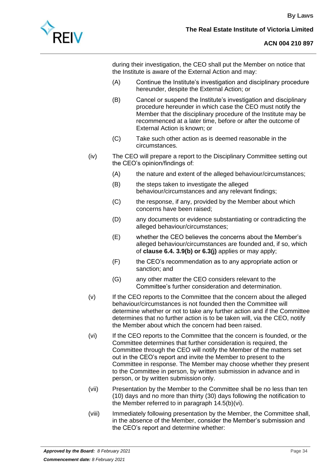

during their investigation, the CEO shall put the Member on notice that the Institute is aware of the External Action and may:

- (A) Continue the Institute's investigation and disciplinary procedure hereunder, despite the External Action; or
- (B) Cancel or suspend the Institute's investigation and disciplinary procedure hereunder in which case the CEO must notify the Member that the disciplinary procedure of the Institute may be recommenced at a later time, before or after the outcome of External Action is known; or
- (C) Take such other action as is deemed reasonable in the circumstances.
- (iv) The CEO will prepare a report to the Disciplinary Committee setting out the CEO's opinion/findings of:
	- (A) the nature and extent of the alleged behaviour/circumstances;
	- (B) the steps taken to investigate the alleged behaviour/circumstances and any relevant findings;
	- (C) the response, if any, provided by the Member about which concerns have been raised;
	- (D) any documents or evidence substantiating or contradicting the alleged behaviour/circumstances;
	- (E) whether the CEO believes the concerns about the Member's alleged behaviour/circumstances are founded and, if so, which of **clause 6.4. 3.9(b) or 6.3(j)** applies or may apply;
	- (F) the CEO's recommendation as to any appropriate action or sanction; and
	- (G) any other matter the CEO considers relevant to the Committee's further consideration and determination.
- (v) If the CEO reports to the Committee that the concern about the alleged behaviour/circumstances is not founded then the Committee will determine whether or not to take any further action and if the Committee determines that no further action is to be taken will, via the CEO, notify the Member about which the concern had been raised.
- <span id="page-35-0"></span>(vi) If the CEO reports to the Committee that the concern is founded, or the Committee determines that further consideration is required, the Committee through the CEO will notify the Member of the matters set out in the CEO's report and invite the Member to present to the Committee in response. The Member may choose whether they present to the Committee in person, by written submission in advance and in person, or by written submission only.
- (vii) Presentation by the Member to the Committee shall be no less than ten (10) days and no more than thirty (30) days following the notification to the Member referred to in paragraph [14.5\(b\)\(vi\).](#page-35-0)
- (viii) Immediately following presentation by the Member, the Committee shall, in the absence of the Member, consider the Member's submission and the CEO's report and determine whether: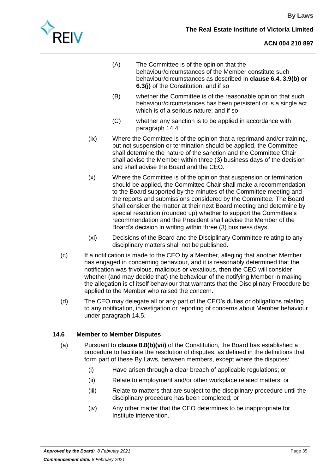

- (A) The Committee is of the opinion that the behaviour/circumstances of the Member constitute such behaviour/circumstances as described in **clause 6.4. 3.9(b) or 6.3(j)** of the Constitution; and if so
- (B) whether the Committee is of the reasonable opinion that such behaviour/circumstances has been persistent or is a single act which is of a serious nature; and if so
- (C) whether any sanction is to be applied in accordance with paragraph [14.4.](#page-34-0)
- (ix) Where the Committee is of the opinion that a reprimand and/or training, but not suspension or termination should be applied, the Committee shall determine the nature of the sanction and the Committee Chair shall advise the Member within three (3) business days of the decision and shall advise the Board and the CEO.
- (x) Where the Committee is of the opinion that suspension or termination should be applied, the Committee Chair shall make a recommendation to the Board supported by the minutes of the Committee meeting and the reports and submissions considered by the Committee. The Board shall consider the matter at their next Board meeting and determine by special resolution (rounded up) whether to support the Committee's recommendation and the President shall advise the Member of the Board's decision in writing within three (3) business days.
- (xi) Decisions of the Board and the Disciplinary Committee relating to any disciplinary matters shall not be published.
- (c) If a notification is made to the CEO by a Member, alleging that another Member has engaged in concerning behaviour, and it is reasonably determined that the notification was frivolous, malicious or vexatious, then the CEO will consider whether (and may decide that) the behaviour of the notifying Member in making the allegation is of itself behaviour that warrants that the Disciplinary Procedure be applied to the Member who raised the concern.
- (d) The CEO may delegate all or any part of the CEO's duties or obligations relating to any notification, investigation or reporting of concerns about Member behaviour under paragraph [14.5.](#page-34-1)

# **14.6 Member to Member Disputes**

- (a) Pursuant to **clause 8.8(b)(vii)** of the Constitution, the Board has established a procedure to facilitate the resolution of disputes, as defined in the definitions that form part of these By Laws, between members, except where the disputes:
	- (i) Have arisen through a clear breach of applicable regulations; or
	- (ii) Relate to employment and/or other workplace related matters; or
	- (iii) Relate to matters that are subject to the disciplinary procedure until the disciplinary procedure has been completed; or
	- (iv) Any other matter that the CEO determines to be inappropriate for Institute intervention.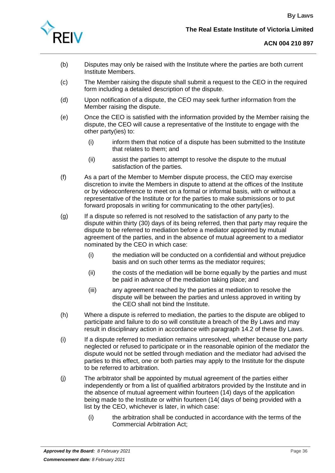

- (b) Disputes may only be raised with the Institute where the parties are both current Institute Members.
- (c) The Member raising the dispute shall submit a request to the CEO in the required form including a detailed description of the dispute.
- (d) Upon notification of a dispute, the CEO may seek further information from the Member raising the dispute.
- (e) Once the CEO is satisfied with the information provided by the Member raising the dispute, the CEO will cause a representative of the Institute to engage with the other party(ies) to:
	- (i) inform them that notice of a dispute has been submitted to the Institute that relates to them; and
	- (ii) assist the parties to attempt to resolve the dispute to the mutual satisfaction of the parties.
- (f) As a part of the Member to Member dispute process, the CEO may exercise discretion to invite the Members in dispute to attend at the offices of the Institute or by videoconference to meet on a formal or informal basis, with or without a representative of the Institute or for the parties to make submissions or to put forward proposals in writing for communicating to the other party(ies).
- (g) If a dispute so referred is not resolved to the satisfaction of any party to the dispute within thirty (30) days of its being referred, then that party may require the dispute to be referred to mediation before a mediator appointed by mutual agreement of the parties, and in the absence of mutual agreement to a mediator nominated by the CEO in which case:
	- (i) the mediation will be conducted on a confidential and without prejudice basis and on such other terms as the mediator requires;
	- (ii) the costs of the mediation will be borne equally by the parties and must be paid in advance of the mediation taking place; and
	- (iii) any agreement reached by the parties at mediation to resolve the dispute will be between the parties and unless approved in writing by the CEO shall not bind the Institute.
- (h) Where a dispute is referred to mediation, the parties to the dispute are obliged to participate and failure to do so will constitute a breach of the By Laws and may result in disciplinary action in accordance with paragraph [14.2](#page-33-1) of these By Laws.
- (i) If a dispute referred to mediation remains unresolved, whether because one party neglected or refused to participate or in the reasonable opinion of the mediator the dispute would not be settled through mediation and the mediator had advised the parties to this effect, one or both parties may apply to the Institute for the dispute to be referred to arbitration.
- (j) The arbitrator shall be appointed by mutual agreement of the parties either independently or from a list of qualified arbitrators provided by the Institute and in the absence of mutual agreement within fourteen (14) days of the application being made to the Institute or within fourteen (14( days of being provided with a list by the CEO, whichever is later, in which case:
	- (i) the arbitration shall be conducted in accordance with the terms of the Commercial Arbitration Act;